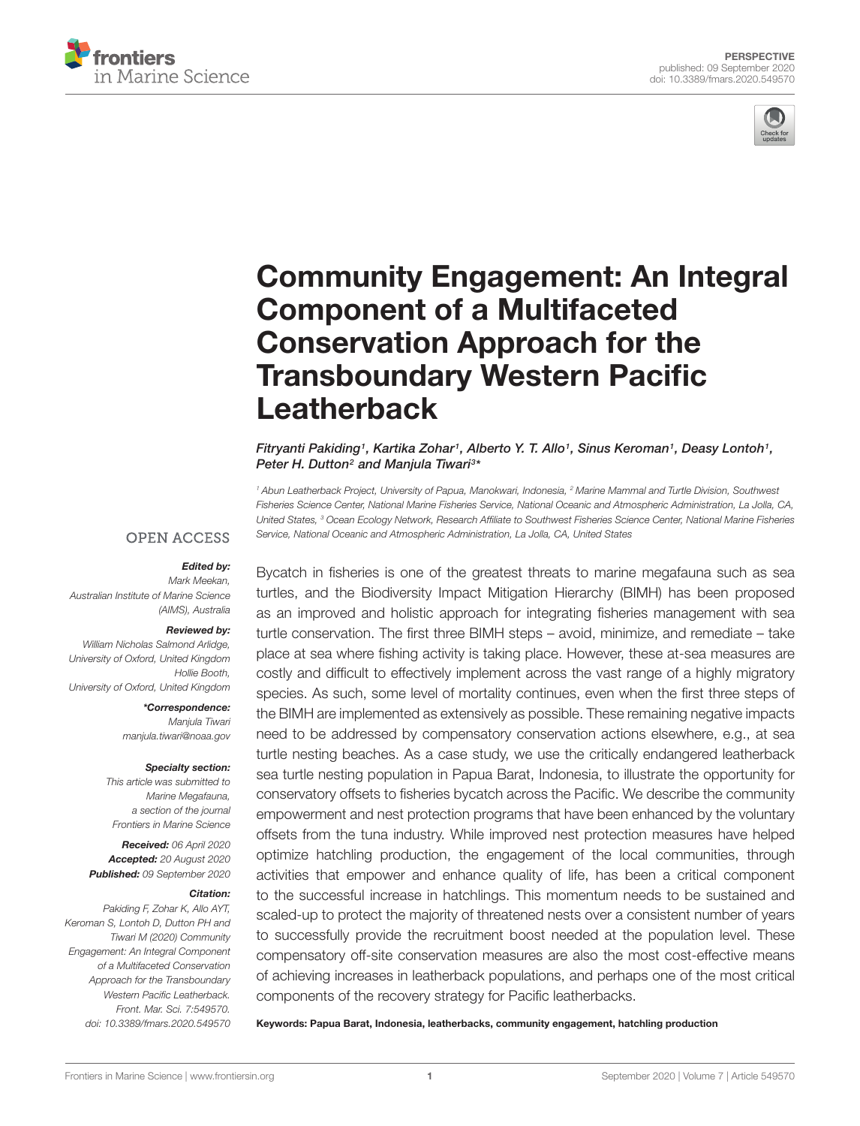



# [Community Engagement: An Integral](https://www.frontiersin.org/articles/10.3389/fmars.2020.549570/full) Component of a Multifaceted Conservation Approach for the Transboundary Western Pacific Leatherback

Fitryanti Pakiding1, Kartika Zohar1, Alberto Y. T. Allo1, Sinus Keroman1, Deasy Lontoh1, Peter H. Dutton<sup>2</sup> and Manjula Tiwari<sup>3</sup>\*

<sup>1</sup> Abun Leatherback Project, University of Papua, Manokwari, Indonesia, <sup>2</sup> Marine Mammal and Turtle Division, Southwest Fisheries Science Center, National Marine Fisheries Service, National Oceanic and Atmospheric Administration, La Jolla, CA, United States, <sup>3</sup> Ocean Ecology Network, Research Affiliate to Southwest Fisheries Science Center, National Marine Fisheries Service, National Oceanic and Atmospheric Administration, La Jolla, CA, United States

### **OPEN ACCESS**

#### Edited by:

Mark Meekan, Australian Institute of Marine Science (AIMS), Australia

#### Reviewed by:

William Nicholas Salmond Arlidge, University of Oxford, United Kingdom Hollie Booth, University of Oxford, United Kingdom

> \*Correspondence: Manjula Tiwari manjula.tiwari@noaa.gov

#### Specialty section:

This article was submitted to Marine Megafauna, a section of the journal Frontiers in Marine Science

Received: 06 April 2020 Accepted: 20 August 2020 Published: 09 September 2020

#### Citation:

Pakiding F, Zohar K, Allo AYT, Keroman S, Lontoh D, Dutton PH and Tiwari M (2020) Community Engagement: An Integral Component of a Multifaceted Conservation Approach for the Transboundary Western Pacific Leatherback. Front. Mar. Sci. 7:549570. doi: [10.3389/fmars.2020.549570](https://doi.org/10.3389/fmars.2020.549570) Bycatch in fisheries is one of the greatest threats to marine megafauna such as sea turtles, and the Biodiversity Impact Mitigation Hierarchy (BIMH) has been proposed as an improved and holistic approach for integrating fisheries management with sea turtle conservation. The first three BIMH steps – avoid, minimize, and remediate – take place at sea where fishing activity is taking place. However, these at-sea measures are costly and difficult to effectively implement across the vast range of a highly migratory species. As such, some level of mortality continues, even when the first three steps of the BIMH are implemented as extensively as possible. These remaining negative impacts need to be addressed by compensatory conservation actions elsewhere, e.g., at sea turtle nesting beaches. As a case study, we use the critically endangered leatherback sea turtle nesting population in Papua Barat, Indonesia, to illustrate the opportunity for conservatory offsets to fisheries bycatch across the Pacific. We describe the community empowerment and nest protection programs that have been enhanced by the voluntary offsets from the tuna industry. While improved nest protection measures have helped optimize hatchling production, the engagement of the local communities, through activities that empower and enhance quality of life, has been a critical component to the successful increase in hatchlings. This momentum needs to be sustained and scaled-up to protect the majority of threatened nests over a consistent number of years to successfully provide the recruitment boost needed at the population level. These compensatory off-site conservation measures are also the most cost-effective means of achieving increases in leatherback populations, and perhaps one of the most critical components of the recovery strategy for Pacific leatherbacks.

Keywords: Papua Barat, Indonesia, leatherbacks, community engagement, hatchling production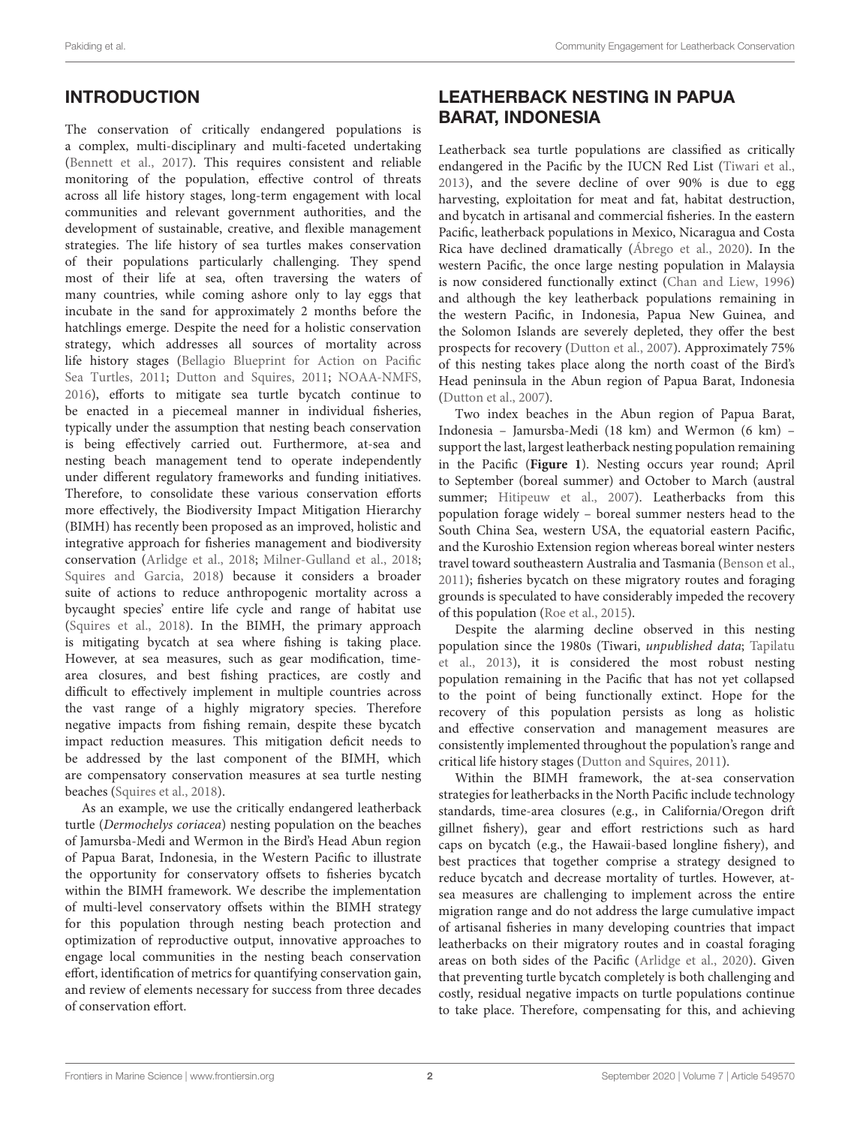# INTRODUCTION

The conservation of critically endangered populations is a complex, multi-disciplinary and multi-faceted undertaking [\(Bennett et al.,](#page-5-0) [2017\)](#page-5-0). This requires consistent and reliable monitoring of the population, effective control of threats across all life history stages, long-term engagement with local communities and relevant government authorities, and the development of sustainable, creative, and flexible management strategies. The life history of sea turtles makes conservation of their populations particularly challenging. They spend most of their life at sea, often traversing the waters of many countries, while coming ashore only to lay eggs that incubate in the sand for approximately 2 months before the hatchlings emerge. Despite the need for a holistic conservation strategy, which addresses all sources of mortality across life history stages [\(Bellagio Blueprint for Action on Pacific](#page-5-1) [Sea Turtles,](#page-5-1) [2011;](#page-5-1) [Dutton and Squires,](#page-5-2) [2011;](#page-5-2) [NOAA-NMFS,](#page-5-3) [2016\)](#page-5-3), efforts to mitigate sea turtle bycatch continue to be enacted in a piecemeal manner in individual fisheries, typically under the assumption that nesting beach conservation is being effectively carried out. Furthermore, at-sea and nesting beach management tend to operate independently under different regulatory frameworks and funding initiatives. Therefore, to consolidate these various conservation efforts more effectively, the Biodiversity Impact Mitigation Hierarchy (BIMH) has recently been proposed as an improved, holistic and integrative approach for fisheries management and biodiversity conservation [\(Arlidge et al.,](#page-5-4) [2018;](#page-5-4) [Milner-Gulland et al.,](#page-5-5) [2018;](#page-5-5) [Squires and Garcia,](#page-6-0) [2018\)](#page-6-0) because it considers a broader suite of actions to reduce anthropogenic mortality across a bycaught species' entire life cycle and range of habitat use [\(Squires et al.,](#page-6-1) [2018\)](#page-6-1). In the BIMH, the primary approach is mitigating bycatch at sea where fishing is taking place. However, at sea measures, such as gear modification, timearea closures, and best fishing practices, are costly and difficult to effectively implement in multiple countries across the vast range of a highly migratory species. Therefore negative impacts from fishing remain, despite these bycatch impact reduction measures. This mitigation deficit needs to be addressed by the last component of the BIMH, which are compensatory conservation measures at sea turtle nesting beaches [\(Squires et al.,](#page-6-1) [2018\)](#page-6-1).

As an example, we use the critically endangered leatherback turtle (Dermochelys coriacea) nesting population on the beaches of Jamursba-Medi and Wermon in the Bird's Head Abun region of Papua Barat, Indonesia, in the Western Pacific to illustrate the opportunity for conservatory offsets to fisheries bycatch within the BIMH framework. We describe the implementation of multi-level conservatory offsets within the BIMH strategy for this population through nesting beach protection and optimization of reproductive output, innovative approaches to engage local communities in the nesting beach conservation effort, identification of metrics for quantifying conservation gain, and review of elements necessary for success from three decades of conservation effort.

# LEATHERBACK NESTING IN PAPUA BARAT, INDONESIA

Leatherback sea turtle populations are classified as critically endangered in the Pacific by the IUCN Red List [\(Tiwari et al.,](#page-6-2) [2013\)](#page-6-2), and the severe decline of over 90% is due to egg harvesting, exploitation for meat and fat, habitat destruction, and bycatch in artisanal and commercial fisheries. In the eastern Pacific, leatherback populations in Mexico, Nicaragua and Costa Rica have declined dramatically [\(Ábrego et al.,](#page-5-6) [2020\)](#page-5-6). In the western Pacific, the once large nesting population in Malaysia is now considered functionally extinct [\(Chan and Liew,](#page-5-7) [1996\)](#page-5-7) and although the key leatherback populations remaining in the western Pacific, in Indonesia, Papua New Guinea, and the Solomon Islands are severely depleted, they offer the best prospects for recovery [\(Dutton et al.,](#page-5-8) [2007\)](#page-5-8). Approximately 75% of this nesting takes place along the north coast of the Bird's Head peninsula in the Abun region of Papua Barat, Indonesia [\(Dutton et al.,](#page-5-8) [2007\)](#page-5-8).

Two index beaches in the Abun region of Papua Barat, Indonesia – Jamursba-Medi (18 km) and Wermon (6 km) – support the last, largest leatherback nesting population remaining in the Pacific (**[Figure 1](#page-2-0)**). Nesting occurs year round; April to September (boreal summer) and October to March (austral summer; [Hitipeuw et al.,](#page-5-9) [2007\)](#page-5-9). Leatherbacks from this population forage widely – boreal summer nesters head to the South China Sea, western USA, the equatorial eastern Pacific, and the Kuroshio Extension region whereas boreal winter nesters travel toward southeastern Australia and Tasmania [\(Benson et al.,](#page-5-10) [2011\)](#page-5-10); fisheries bycatch on these migratory routes and foraging grounds is speculated to have considerably impeded the recovery of this population [\(Roe et al.,](#page-6-3) [2015\)](#page-6-3).

Despite the alarming decline observed in this nesting population since the 1980s (Tiwari, unpublished data; [Tapilatu](#page-6-4) [et al.,](#page-6-4) [2013\)](#page-6-4), it is considered the most robust nesting population remaining in the Pacific that has not yet collapsed to the point of being functionally extinct. Hope for the recovery of this population persists as long as holistic and effective conservation and management measures are consistently implemented throughout the population's range and critical life history stages [\(Dutton and Squires,](#page-5-2) [2011\)](#page-5-2).

Within the BIMH framework, the at-sea conservation strategies for leatherbacks in the North Pacific include technology standards, time-area closures (e.g., in California/Oregon drift gillnet fishery), gear and effort restrictions such as hard caps on bycatch (e.g., the Hawaii-based longline fishery), and best practices that together comprise a strategy designed to reduce bycatch and decrease mortality of turtles. However, atsea measures are challenging to implement across the entire migration range and do not address the large cumulative impact of artisanal fisheries in many developing countries that impact leatherbacks on their migratory routes and in coastal foraging areas on both sides of the Pacific [\(Arlidge et al.,](#page-5-11) [2020\)](#page-5-11). Given that preventing turtle bycatch completely is both challenging and costly, residual negative impacts on turtle populations continue to take place. Therefore, compensating for this, and achieving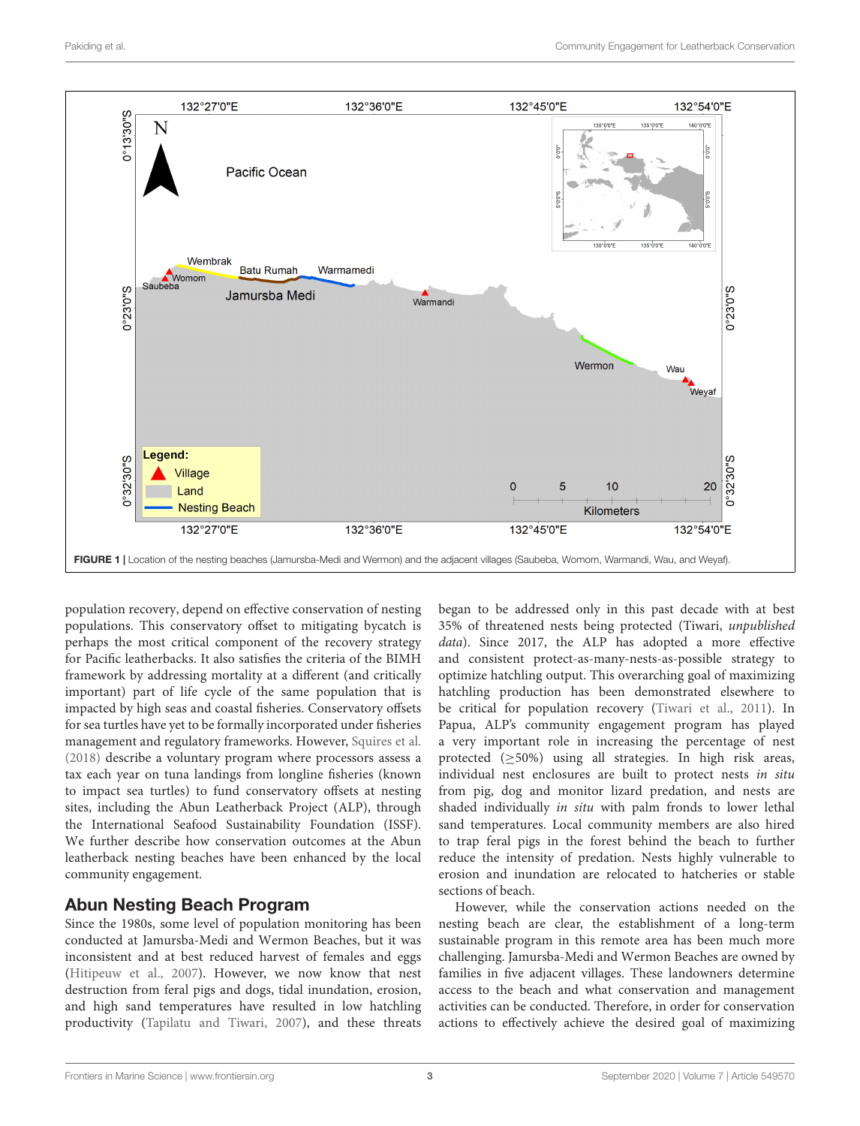

<span id="page-2-0"></span>population recovery, depend on effective conservation of nesting populations. This conservatory offset to mitigating bycatch is perhaps the most critical component of the recovery strategy for Pacific leatherbacks. It also satisfies the criteria of the BIMH framework by addressing mortality at a different (and critically important) part of life cycle of the same population that is impacted by high seas and coastal fisheries. Conservatory offsets for sea turtles have yet to be formally incorporated under fisheries management and regulatory frameworks. However, [Squires et al.](#page-6-1) [\(2018\)](#page-6-1) describe a voluntary program where processors assess a tax each year on tuna landings from longline fisheries (known to impact sea turtles) to fund conservatory offsets at nesting sites, including the Abun Leatherback Project (ALP), through the International Seafood Sustainability Foundation (ISSF). We further describe how conservation outcomes at the Abun leatherback nesting beaches have been enhanced by the local community engagement.

# Abun Nesting Beach Program

Since the 1980s, some level of population monitoring has been conducted at Jamursba-Medi and Wermon Beaches, but it was inconsistent and at best reduced harvest of females and eggs [\(Hitipeuw et al.,](#page-5-9) [2007\)](#page-5-9). However, we now know that nest destruction from feral pigs and dogs, tidal inundation, erosion, and high sand temperatures have resulted in low hatchling productivity [\(Tapilatu and Tiwari,](#page-6-5) [2007\)](#page-6-5), and these threats began to be addressed only in this past decade with at best 35% of threatened nests being protected (Tiwari, unpublished data). Since 2017, the ALP has adopted a more effective and consistent protect-as-many-nests-as-possible strategy to optimize hatchling output. This overarching goal of maximizing hatchling production has been demonstrated elsewhere to be critical for population recovery [\(Tiwari et al.,](#page-6-6) [2011\)](#page-6-6). In Papua, ALP's community engagement program has played a very important role in increasing the percentage of nest protected  $(\geq 50\%)$  using all strategies. In high risk areas, individual nest enclosures are built to protect nests in situ from pig, dog and monitor lizard predation, and nests are shaded individually in situ with palm fronds to lower lethal sand temperatures. Local community members are also hired to trap feral pigs in the forest behind the beach to further reduce the intensity of predation. Nests highly vulnerable to erosion and inundation are relocated to hatcheries or stable sections of beach.

However, while the conservation actions needed on the nesting beach are clear, the establishment of a long-term sustainable program in this remote area has been much more challenging. Jamursba-Medi and Wermon Beaches are owned by families in five adjacent villages. These landowners determine access to the beach and what conservation and management activities can be conducted. Therefore, in order for conservation actions to effectively achieve the desired goal of maximizing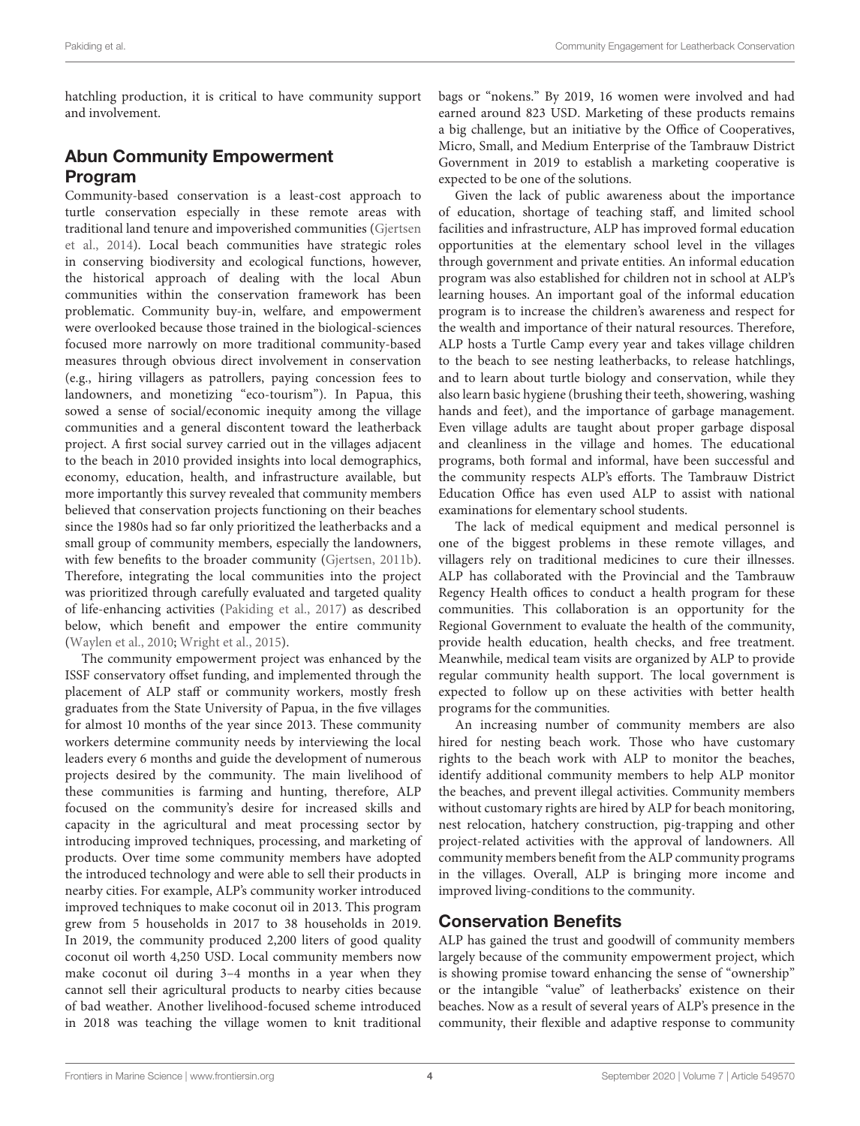hatchling production, it is critical to have community support and involvement.

# Abun Community Empowerment Program

Community-based conservation is a least-cost approach to turtle conservation especially in these remote areas with traditional land tenure and impoverished communities [\(Gjertsen](#page-5-12) [et al.,](#page-5-12) [2014\)](#page-5-12). Local beach communities have strategic roles in conserving biodiversity and ecological functions, however, the historical approach of dealing with the local Abun communities within the conservation framework has been problematic. Community buy-in, welfare, and empowerment were overlooked because those trained in the biological-sciences focused more narrowly on more traditional community-based measures through obvious direct involvement in conservation (e.g., hiring villagers as patrollers, paying concession fees to landowners, and monetizing "eco-tourism"). In Papua, this sowed a sense of social/economic inequity among the village communities and a general discontent toward the leatherback project. A first social survey carried out in the villages adjacent to the beach in 2010 provided insights into local demographics, economy, education, health, and infrastructure available, but more importantly this survey revealed that community members believed that conservation projects functioning on their beaches since the 1980s had so far only prioritized the leatherbacks and a small group of community members, especially the landowners, with few benefits to the broader community [\(Gjertsen,](#page-5-13) [2011b\)](#page-5-13). Therefore, integrating the local communities into the project was prioritized through carefully evaluated and targeted quality of life-enhancing activities [\(Pakiding et al.,](#page-5-14) [2017\)](#page-5-14) as described below, which benefit and empower the entire community [\(Waylen et al.,](#page-6-7) [2010;](#page-6-7) [Wright et al.,](#page-6-8) [2015\)](#page-6-8).

The community empowerment project was enhanced by the ISSF conservatory offset funding, and implemented through the placement of ALP staff or community workers, mostly fresh graduates from the State University of Papua, in the five villages for almost 10 months of the year since 2013. These community workers determine community needs by interviewing the local leaders every 6 months and guide the development of numerous projects desired by the community. The main livelihood of these communities is farming and hunting, therefore, ALP focused on the community's desire for increased skills and capacity in the agricultural and meat processing sector by introducing improved techniques, processing, and marketing of products. Over time some community members have adopted the introduced technology and were able to sell their products in nearby cities. For example, ALP's community worker introduced improved techniques to make coconut oil in 2013. This program grew from 5 households in 2017 to 38 households in 2019. In 2019, the community produced 2,200 liters of good quality coconut oil worth 4,250 USD. Local community members now make coconut oil during 3–4 months in a year when they cannot sell their agricultural products to nearby cities because of bad weather. Another livelihood-focused scheme introduced in 2018 was teaching the village women to knit traditional

bags or "nokens." By 2019, 16 women were involved and had earned around 823 USD. Marketing of these products remains a big challenge, but an initiative by the Office of Cooperatives, Micro, Small, and Medium Enterprise of the Tambrauw District Government in 2019 to establish a marketing cooperative is expected to be one of the solutions.

Given the lack of public awareness about the importance of education, shortage of teaching staff, and limited school facilities and infrastructure, ALP has improved formal education opportunities at the elementary school level in the villages through government and private entities. An informal education program was also established for children not in school at ALP's learning houses. An important goal of the informal education program is to increase the children's awareness and respect for the wealth and importance of their natural resources. Therefore, ALP hosts a Turtle Camp every year and takes village children to the beach to see nesting leatherbacks, to release hatchlings, and to learn about turtle biology and conservation, while they also learn basic hygiene (brushing their teeth, showering, washing hands and feet), and the importance of garbage management. Even village adults are taught about proper garbage disposal and cleanliness in the village and homes. The educational programs, both formal and informal, have been successful and the community respects ALP's efforts. The Tambrauw District Education Office has even used ALP to assist with national examinations for elementary school students.

The lack of medical equipment and medical personnel is one of the biggest problems in these remote villages, and villagers rely on traditional medicines to cure their illnesses. ALP has collaborated with the Provincial and the Tambrauw Regency Health offices to conduct a health program for these communities. This collaboration is an opportunity for the Regional Government to evaluate the health of the community, provide health education, health checks, and free treatment. Meanwhile, medical team visits are organized by ALP to provide regular community health support. The local government is expected to follow up on these activities with better health programs for the communities.

An increasing number of community members are also hired for nesting beach work. Those who have customary rights to the beach work with ALP to monitor the beaches, identify additional community members to help ALP monitor the beaches, and prevent illegal activities. Community members without customary rights are hired by ALP for beach monitoring, nest relocation, hatchery construction, pig-trapping and other project-related activities with the approval of landowners. All community members benefit from the ALP community programs in the villages. Overall, ALP is bringing more income and improved living-conditions to the community.

### Conservation Benefits

ALP has gained the trust and goodwill of community members largely because of the community empowerment project, which is showing promise toward enhancing the sense of "ownership" or the intangible "value" of leatherbacks' existence on their beaches. Now as a result of several years of ALP's presence in the community, their flexible and adaptive response to community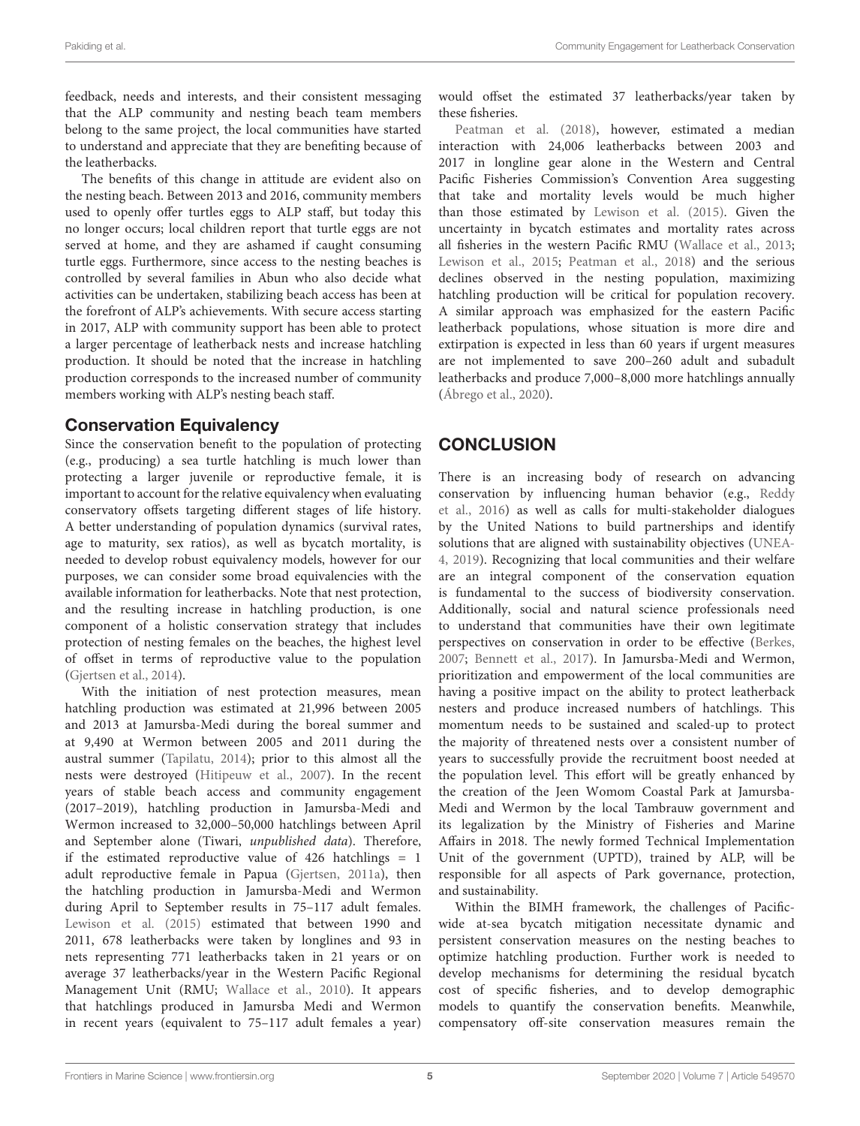feedback, needs and interests, and their consistent messaging that the ALP community and nesting beach team members belong to the same project, the local communities have started to understand and appreciate that they are benefiting because of the leatherbacks.

The benefits of this change in attitude are evident also on the nesting beach. Between 2013 and 2016, community members used to openly offer turtles eggs to ALP staff, but today this no longer occurs; local children report that turtle eggs are not served at home, and they are ashamed if caught consuming turtle eggs. Furthermore, since access to the nesting beaches is controlled by several families in Abun who also decide what activities can be undertaken, stabilizing beach access has been at the forefront of ALP's achievements. With secure access starting in 2017, ALP with community support has been able to protect a larger percentage of leatherback nests and increase hatchling production. It should be noted that the increase in hatchling production corresponds to the increased number of community members working with ALP's nesting beach staff.

### Conservation Equivalency

Since the conservation benefit to the population of protecting (e.g., producing) a sea turtle hatchling is much lower than protecting a larger juvenile or reproductive female, it is important to account for the relative equivalency when evaluating conservatory offsets targeting different stages of life history. A better understanding of population dynamics (survival rates, age to maturity, sex ratios), as well as bycatch mortality, is needed to develop robust equivalency models, however for our purposes, we can consider some broad equivalencies with the available information for leatherbacks. Note that nest protection, and the resulting increase in hatchling production, is one component of a holistic conservation strategy that includes protection of nesting females on the beaches, the highest level of offset in terms of reproductive value to the population [\(Gjertsen et al.,](#page-5-12) [2014\)](#page-5-12).

With the initiation of nest protection measures, mean hatchling production was estimated at 21,996 between 2005 and 2013 at Jamursba-Medi during the boreal summer and at 9,490 at Wermon between 2005 and 2011 during the austral summer [\(Tapilatu,](#page-6-9) [2014\)](#page-6-9); prior to this almost all the nests were destroyed [\(Hitipeuw et al.,](#page-5-9) [2007\)](#page-5-9). In the recent years of stable beach access and community engagement (2017–2019), hatchling production in Jamursba-Medi and Wermon increased to 32,000–50,000 hatchlings between April and September alone (Tiwari, unpublished data). Therefore, if the estimated reproductive value of 426 hatchlings = 1 adult reproductive female in Papua [\(Gjertsen,](#page-5-15) [2011a\)](#page-5-15), then the hatchling production in Jamursba-Medi and Wermon during April to September results in 75–117 adult females. [Lewison et al.](#page-5-16) [\(2015\)](#page-5-16) estimated that between 1990 and 2011, 678 leatherbacks were taken by longlines and 93 in nets representing 771 leatherbacks taken in 21 years or on average 37 leatherbacks/year in the Western Pacific Regional Management Unit (RMU; [Wallace et al.,](#page-6-10) [2010\)](#page-6-10). It appears that hatchlings produced in Jamursba Medi and Wermon in recent years (equivalent to 75–117 adult females a year)

would offset the estimated 37 leatherbacks/year taken by these fisheries.

[Peatman et al.](#page-5-17) [\(2018\)](#page-5-17), however, estimated a median interaction with 24,006 leatherbacks between 2003 and 2017 in longline gear alone in the Western and Central Pacific Fisheries Commission's Convention Area suggesting that take and mortality levels would be much higher than those estimated by [Lewison et al.](#page-5-16) [\(2015\)](#page-5-16). Given the uncertainty in bycatch estimates and mortality rates across all fisheries in the western Pacific RMU [\(Wallace et al.,](#page-6-11) [2013;](#page-6-11) [Lewison et al.,](#page-5-16) [2015;](#page-5-16) [Peatman et al.,](#page-5-17) [2018\)](#page-5-17) and the serious declines observed in the nesting population, maximizing hatchling production will be critical for population recovery. A similar approach was emphasized for the eastern Pacific leatherback populations, whose situation is more dire and extirpation is expected in less than 60 years if urgent measures are not implemented to save 200–260 adult and subadult leatherbacks and produce 7,000–8,000 more hatchlings annually [\(Ábrego et al.,](#page-5-6) [2020\)](#page-5-6).

### **CONCLUSION**

There is an increasing body of research on advancing conservation by influencing human behavior (e.g., [Reddy](#page-5-18) [et al.,](#page-5-18) [2016\)](#page-5-18) as well as calls for multi-stakeholder dialogues by the United Nations to build partnerships and identify solutions that are aligned with sustainability objectives [\(UNEA-](#page-6-12)[4,](#page-6-12) [2019\)](#page-6-12). Recognizing that local communities and their welfare are an integral component of the conservation equation is fundamental to the success of biodiversity conservation. Additionally, social and natural science professionals need to understand that communities have their own legitimate perspectives on conservation in order to be effective [\(Berkes,](#page-5-19) [2007;](#page-5-19) [Bennett et al.,](#page-5-0) [2017\)](#page-5-0). In Jamursba-Medi and Wermon, prioritization and empowerment of the local communities are having a positive impact on the ability to protect leatherback nesters and produce increased numbers of hatchlings. This momentum needs to be sustained and scaled-up to protect the majority of threatened nests over a consistent number of years to successfully provide the recruitment boost needed at the population level. This effort will be greatly enhanced by the creation of the Jeen Womom Coastal Park at Jamursba-Medi and Wermon by the local Tambrauw government and its legalization by the Ministry of Fisheries and Marine Affairs in 2018. The newly formed Technical Implementation Unit of the government (UPTD), trained by ALP, will be responsible for all aspects of Park governance, protection, and sustainability.

Within the BIMH framework, the challenges of Pacificwide at-sea bycatch mitigation necessitate dynamic and persistent conservation measures on the nesting beaches to optimize hatchling production. Further work is needed to develop mechanisms for determining the residual bycatch cost of specific fisheries, and to develop demographic models to quantify the conservation benefits. Meanwhile, compensatory off-site conservation measures remain the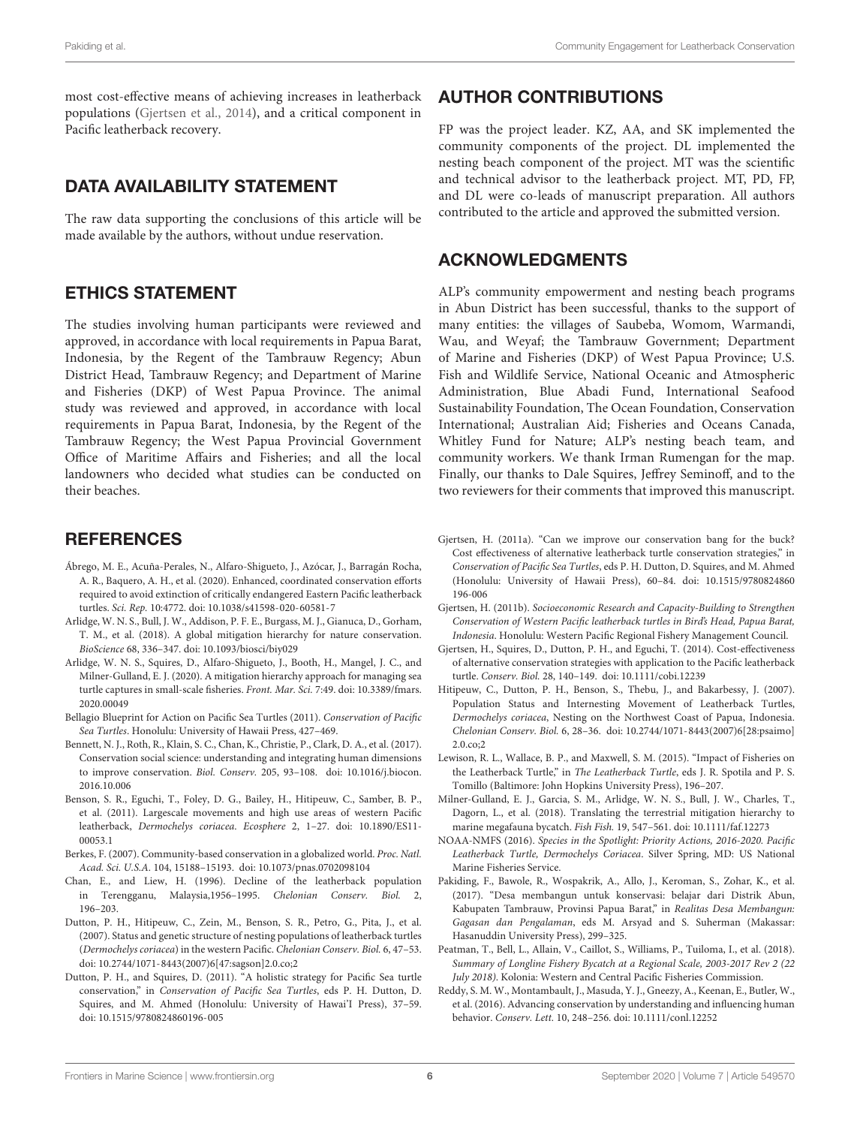most cost-effective means of achieving increases in leatherback populations [\(Gjertsen et al.,](#page-5-12) [2014\)](#page-5-12), and a critical component in Pacific leatherback recovery.

# DATA AVAILABILITY STATEMENT

The raw data supporting the conclusions of this article will be made available by the authors, without undue reservation.

# ETHICS STATEMENT

The studies involving human participants were reviewed and approved, in accordance with local requirements in Papua Barat, Indonesia, by the Regent of the Tambrauw Regency; Abun District Head, Tambrauw Regency; and Department of Marine and Fisheries (DKP) of West Papua Province. The animal study was reviewed and approved, in accordance with local requirements in Papua Barat, Indonesia, by the Regent of the Tambrauw Regency; the West Papua Provincial Government Office of Maritime Affairs and Fisheries; and all the local landowners who decided what studies can be conducted on their beaches.

# **REFERENCES**

- <span id="page-5-6"></span>Ábrego, M. E., Acuña-Perales, N., Alfaro-Shigueto, J., Azócar, J., Barragán Rocha, A. R., Baquero, A. H., et al. (2020). Enhanced, coordinated conservation efforts required to avoid extinction of critically endangered Eastern Pacific leatherback turtles. Sci. Rep. 10:4772. [doi: 10.1038/s41598-020-60581-7](https://doi.org/10.1038/s41598-020-60581-7)
- <span id="page-5-4"></span>Arlidge, W. N. S., Bull, J. W., Addison, P. F. E., Burgass, M. J., Gianuca, D., Gorham, T. M., et al. (2018). A global mitigation hierarchy for nature conservation. BioScience 68, 336–347. [doi: 10.1093/biosci/biy029](https://doi.org/10.1093/biosci/biy029)
- <span id="page-5-11"></span>Arlidge, W. N. S., Squires, D., Alfaro-Shigueto, J., Booth, H., Mangel, J. C., and Milner-Gulland, E. J. (2020). A mitigation hierarchy approach for managing sea turtle captures in small-scale fisheries. Front. Mar. Sci. 7:49. [doi: 10.3389/fmars.](https://doi.org/10.3389/fmars.2020.00049) [2020.00049](https://doi.org/10.3389/fmars.2020.00049)
- <span id="page-5-1"></span>Bellagio Blueprint for Action on Pacific Sea Turtles (2011). Conservation of Pacific Sea Turtles. Honolulu: University of Hawaii Press, 427–469.
- <span id="page-5-0"></span>Bennett, N. J., Roth, R., Klain, S. C., Chan, K., Christie, P., Clark, D. A., et al. (2017). Conservation social science: understanding and integrating human dimensions to improve conservation. Biol. Conserv. 205, 93–108. [doi: 10.1016/j.biocon.](https://doi.org/10.1016/j.biocon.2016.10.006) [2016.10.006](https://doi.org/10.1016/j.biocon.2016.10.006)
- <span id="page-5-10"></span>Benson, S. R., Eguchi, T., Foley, D. G., Bailey, H., Hitipeuw, C., Samber, B. P., et al. (2011). Largescale movements and high use areas of western Pacific leatherback, Dermochelys coriacea. Ecosphere 2, 1–27. [doi: 10.1890/ES11-](https://doi.org/10.1890/ES11-00053.1) [00053.1](https://doi.org/10.1890/ES11-00053.1)
- <span id="page-5-19"></span>Berkes, F. (2007). Community-based conservation in a globalized world. Proc. Natl. Acad. Sci. U.S.A. 104, 15188–15193. [doi: 10.1073/pnas.0702098104](https://doi.org/10.1073/pnas.0702098104)
- <span id="page-5-7"></span>Chan, E., and Liew, H. (1996). Decline of the leatherback population in Terengganu, Malaysia,1956–1995. Chelonian Conserv. Biol. 2, 196–203.
- <span id="page-5-8"></span>Dutton, P. H., Hitipeuw, C., Zein, M., Benson, S. R., Petro, G., Pita, J., et al. (2007). Status and genetic structure of nesting populations of leatherback turtles (Dermochelys coriacea) in the western Pacific. Chelonian Conserv. Biol. 6, 47–53. [doi: 10.2744/1071-8443\(2007\)6\[47:sagson\]2.0.co;2](https://doi.org/10.2744/1071-8443(2007)6[47:sagson]2.0.co;2)
- <span id="page-5-2"></span>Dutton, P. H., and Squires, D. (2011). "A holistic strategy for Pacific Sea turtle conservation," in Conservation of Pacific Sea Turtles, eds P. H. Dutton, D. Squires, and M. Ahmed (Honolulu: University of Hawai'I Press), 37–59. [doi: 10.1515/9780824860196-005](https://doi.org/10.1515/9780824860196-005)

## AUTHOR CONTRIBUTIONS

FP was the project leader. KZ, AA, and SK implemented the community components of the project. DL implemented the nesting beach component of the project. MT was the scientific and technical advisor to the leatherback project. MT, PD, FP, and DL were co-leads of manuscript preparation. All authors contributed to the article and approved the submitted version.

### ACKNOWLEDGMENTS

ALP's community empowerment and nesting beach programs in Abun District has been successful, thanks to the support of many entities: the villages of Saubeba, Womom, Warmandi, Wau, and Weyaf; the Tambrauw Government; Department of Marine and Fisheries (DKP) of West Papua Province; U.S. Fish and Wildlife Service, National Oceanic and Atmospheric Administration, Blue Abadi Fund, International Seafood Sustainability Foundation, The Ocean Foundation, Conservation International; Australian Aid; Fisheries and Oceans Canada, Whitley Fund for Nature; ALP's nesting beach team, and community workers. We thank Irman Rumengan for the map. Finally, our thanks to Dale Squires, Jeffrey Seminoff, and to the two reviewers for their comments that improved this manuscript.

- <span id="page-5-15"></span>Gjertsen, H. (2011a). "Can we improve our conservation bang for the buck? Cost effectiveness of alternative leatherback turtle conservation strategies," in Conservation of Pacific Sea Turtles, eds P. H. Dutton, D. Squires, and M. Ahmed (Honolulu: University of Hawaii Press), 60–84. [doi: 10.1515/9780824860](https://doi.org/10.1515/9780824860196-006) [196-006](https://doi.org/10.1515/9780824860196-006)
- <span id="page-5-13"></span>Gjertsen, H. (2011b). Socioeconomic Research and Capacity-Building to Strengthen Conservation of Western Pacific leatherback turtles in Bird's Head, Papua Barat, Indonesia. Honolulu: Western Pacific Regional Fishery Management Council.
- <span id="page-5-12"></span>Gjertsen, H., Squires, D., Dutton, P. H., and Eguchi, T. (2014). Cost-effectiveness of alternative conservation strategies with application to the Pacific leatherback turtle. Conserv. Biol. 28, 140–149. [doi: 10.1111/cobi.12239](https://doi.org/10.1111/cobi.12239)
- <span id="page-5-9"></span>Hitipeuw, C., Dutton, P. H., Benson, S., Thebu, J., and Bakarbessy, J. (2007). Population Status and Internesting Movement of Leatherback Turtles, Dermochelys coriacea, Nesting on the Northwest Coast of Papua, Indonesia. Chelonian Conserv. Biol. 6, 28–36. [doi: 10.2744/1071-8443\(2007\)6\[28:psaimo\]](https://doi.org/10.2744/1071-8443(2007)6[28:psaimo]2.0.co;2) [2.0.co;2](https://doi.org/10.2744/1071-8443(2007)6[28:psaimo]2.0.co;2)
- <span id="page-5-16"></span>Lewison, R. L., Wallace, B. P., and Maxwell, S. M. (2015). "Impact of Fisheries on the Leatherback Turtle," in The Leatherback Turtle, eds J. R. Spotila and P. S. Tomillo (Baltimore: John Hopkins University Press), 196–207.
- <span id="page-5-5"></span>Milner-Gulland, E. J., Garcia, S. M., Arlidge, W. N. S., Bull, J. W., Charles, T., Dagorn, L., et al. (2018). Translating the terrestrial mitigation hierarchy to marine megafauna bycatch. Fish Fish. 19, 547–561. [doi: 10.1111/faf.12273](https://doi.org/10.1111/faf.12273)
- <span id="page-5-3"></span>NOAA-NMFS (2016). Species in the Spotlight: Priority Actions, 2016-2020. Pacific Leatherback Turtle, Dermochelys Coriacea. Silver Spring, MD: US National Marine Fisheries Service.
- <span id="page-5-14"></span>Pakiding, F., Bawole, R., Wospakrik, A., Allo, J., Keroman, S., Zohar, K., et al. (2017). "Desa membangun untuk konservasi: belajar dari Distrik Abun, Kabupaten Tambrauw, Provinsi Papua Barat," in Realitas Desa Membangun: Gagasan dan Pengalaman, eds M. Arsyad and S. Suherman (Makassar: Hasanuddin University Press), 299–325.
- <span id="page-5-17"></span>Peatman, T., Bell, L., Allain, V., Caillot, S., Williams, P., Tuiloma, I., et al. (2018). Summary of Longline Fishery Bycatch at a Regional Scale, 2003-2017 Rev 2 (22 July 2018). Kolonia: Western and Central Pacific Fisheries Commission.
- <span id="page-5-18"></span>Reddy, S. M. W., Montambault, J., Masuda, Y. J., Gneezy, A., Keenan, E., Butler, W., et al. (2016). Advancing conservation by understanding and influencing human behavior. Conserv. Lett. 10, 248–256. [doi: 10.1111/conl.12252](https://doi.org/10.1111/conl.12252)